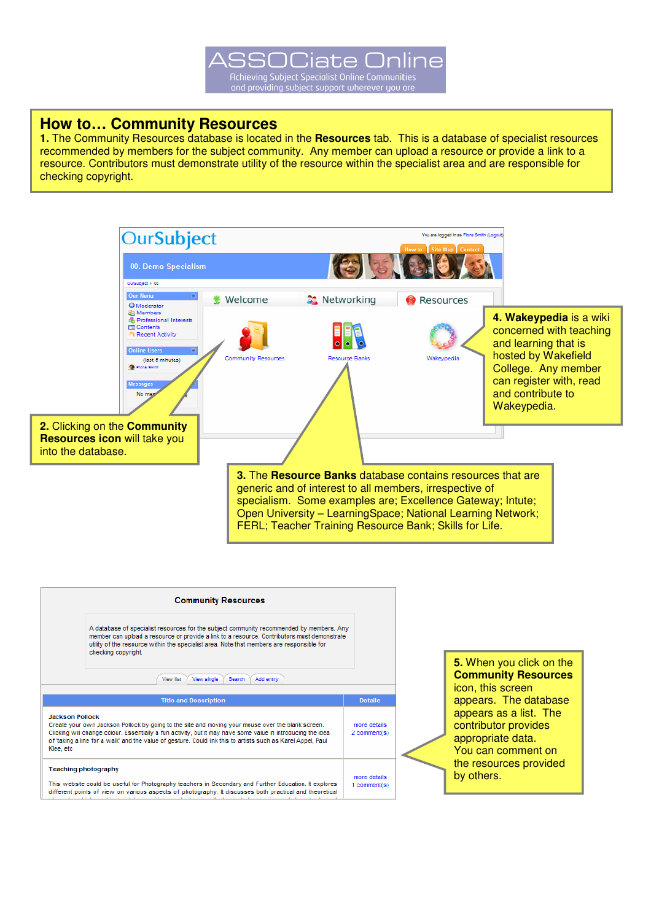### **How to… Community Resources**

**1.** The Community Resources database is located in the **Resources** tab. This is a database of specialist resources recommended by members for the subject community. Any member can upload a resource or provide a link to a resource. Contributors must demonstrate utility of the resource within the specialist area and are responsible for checking copyright.



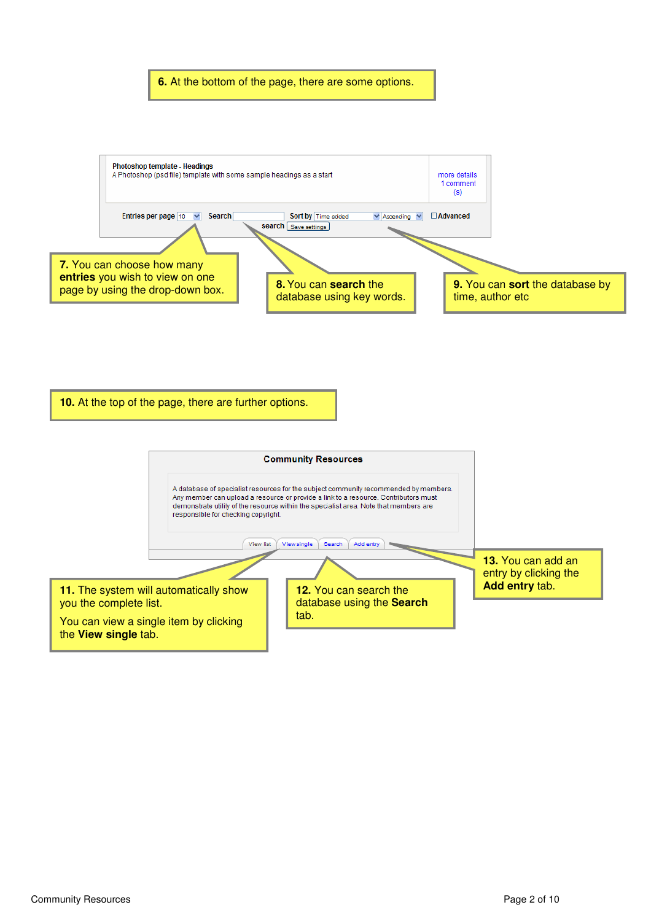

**6.** At the bottom of the page, there are some options.



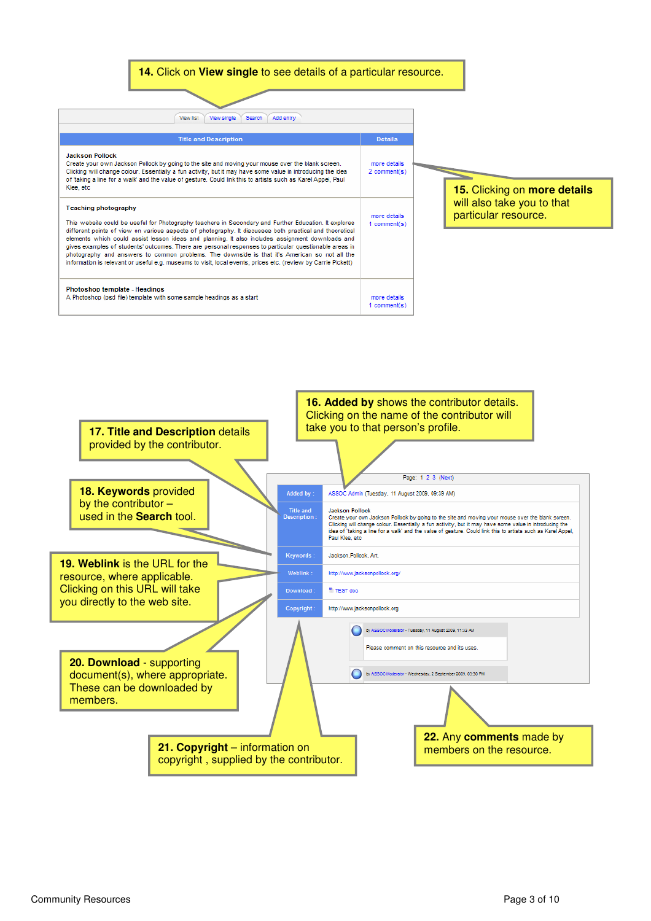



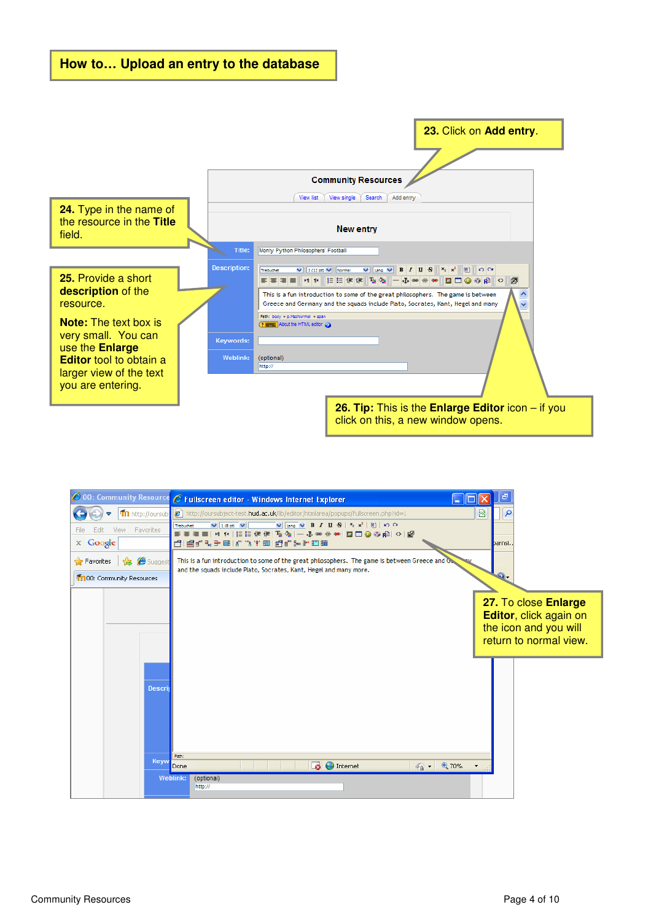

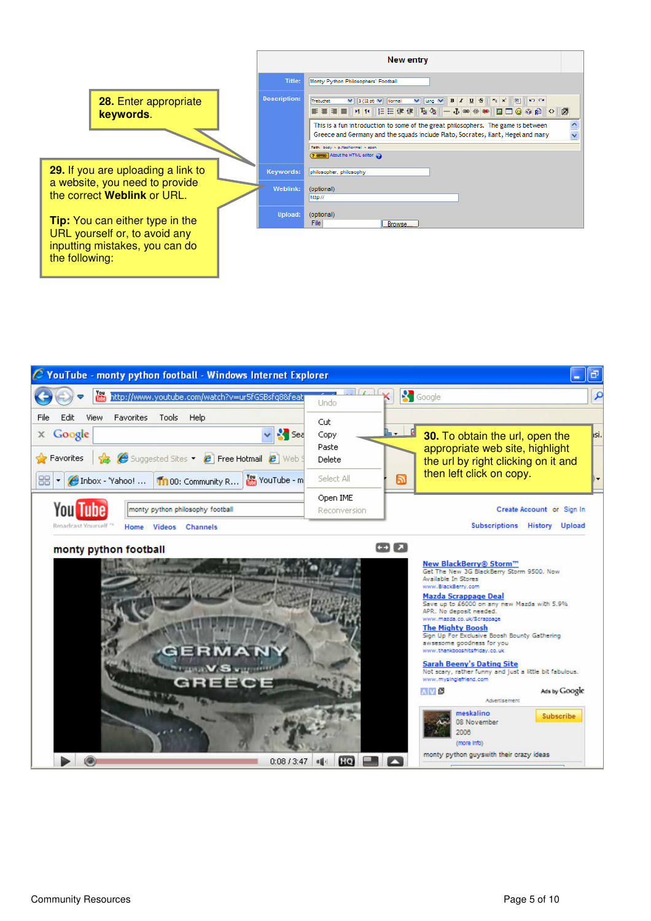

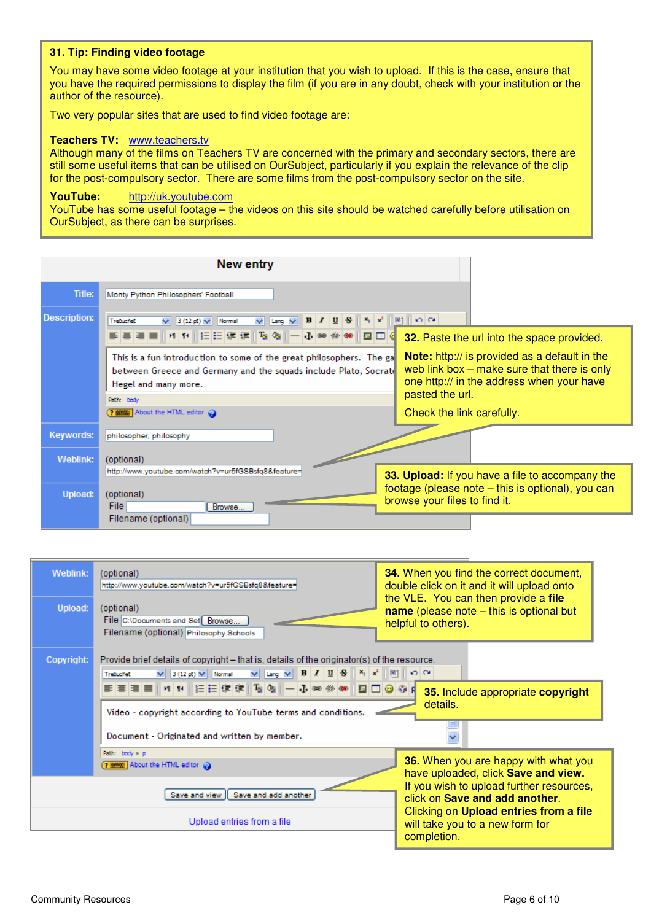#### **31. Tip: Finding video footage**

You may have some video footage at your institution that you wish to upload. If this is the case, ensure that you have the required permissions to display the film (if you are in any doubt, check with your institution or the author of the resource).

Two very popular sites that are used to find video footage are:

#### **Teachers TV:** www.teachers.tv

Although many of the films on Teachers TV are concerned with the primary and secondary sectors, there are still some useful items that can be utilised on OurSubject, particularly if you explain the relevance of the clip for the post-compulsory sector. There are some films from the post-compulsory sector on the site.

### **YouTube:** http://uk.youtube.com

YouTube has some useful footage – the videos on this site should be watched carefully before utilisation on OurSubject, as there can be surprises.

|                       | <b>New entry</b>                                                                                                                                                                                                                                                                                                                                               |                                                                                                                                                                                                                                                                    |
|-----------------------|----------------------------------------------------------------------------------------------------------------------------------------------------------------------------------------------------------------------------------------------------------------------------------------------------------------------------------------------------------------|--------------------------------------------------------------------------------------------------------------------------------------------------------------------------------------------------------------------------------------------------------------------|
| <b>Title:</b>         | Monty Python Philosophers' Football                                                                                                                                                                                                                                                                                                                            |                                                                                                                                                                                                                                                                    |
| Description:          | Trebuchet<br>$I \parallel I$<br>$\mathcal{F}_2$ and $\mathcal{F}_3$<br>M<br>$3(12 \text{ pt}) \vee$<br>$\vee$ Lang $\vee$<br>Normal<br>10 O<br>This is a fun introduction to some of the great philosophers. The gal<br>between Greece and Germany and the squads include Plato, Socrate<br>Hegel and many more.<br>Path: body<br>? WWW. About the HTML editor | $\Omega$<br>图1<br>32. Paste the url into the space provided.<br><b>Note:</b> http:// is provided as a default in the<br>web link box $-$ make sure that there is only<br>one http:// in the address when your have<br>pasted the url.<br>Check the link carefully. |
| Keywords:<br>Weblink: | philosopher, philosophy<br>(optional)                                                                                                                                                                                                                                                                                                                          |                                                                                                                                                                                                                                                                    |
| Upload:               | http://www.youtube.com/watch?v=ur5fGSBsfq8&feature=<br>(optional)<br>File<br>Browse<br>Filename (optional)                                                                                                                                                                                                                                                     | 33. Upload: If you have a file to accompany the<br>footage (please note – this is optional), you can<br>browse your files to find it.                                                                                                                              |

| Weblink:<br>Upload: | (optional)<br>http://www.youtube.com/watch?v=ur5fGSBsfq8&feature=<br>(optional)<br>File C:\Documents and Set Browse<br>Filename (optional) Philosophy Schools                                                                                                 | <b>34.</b> When you find the correct document,<br>double click on it and it will upload onto<br>the VLE. You can then provide a file<br>name (please note $-$ this is optional but<br>helpful to others).                                                    |
|---------------------|---------------------------------------------------------------------------------------------------------------------------------------------------------------------------------------------------------------------------------------------------------------|--------------------------------------------------------------------------------------------------------------------------------------------------------------------------------------------------------------------------------------------------------------|
| Copyright:          | Provide brief details of copyright – that is, details of the originator(s) of the resource.<br>Trebuchet<br><b>⋹⋹⋹⋹⋒⋪</b> ⋪⋒⋿⋿⋐⋐⋒⋦⋬⋒⋺⋠⋘⋒⋑⋑⋑⋬⋪<br>Video - copyright according to YouTube terms and conditions.<br>Document - Originated and written by member. | 35. Include appropriate copyright<br>details.                                                                                                                                                                                                                |
|                     | Path: body > p<br><b>? WWW.</b> About the HTML editor<br>Save and view   Save and add another<br>Upload entries from a file                                                                                                                                   | <b>36.</b> When you are happy with what you<br>have uploaded, click Save and view.<br>If you wish to upload further resources,<br>click on Save and add another.<br>Clicking on Upload entries from a file<br>will take you to a new form for<br>completion. |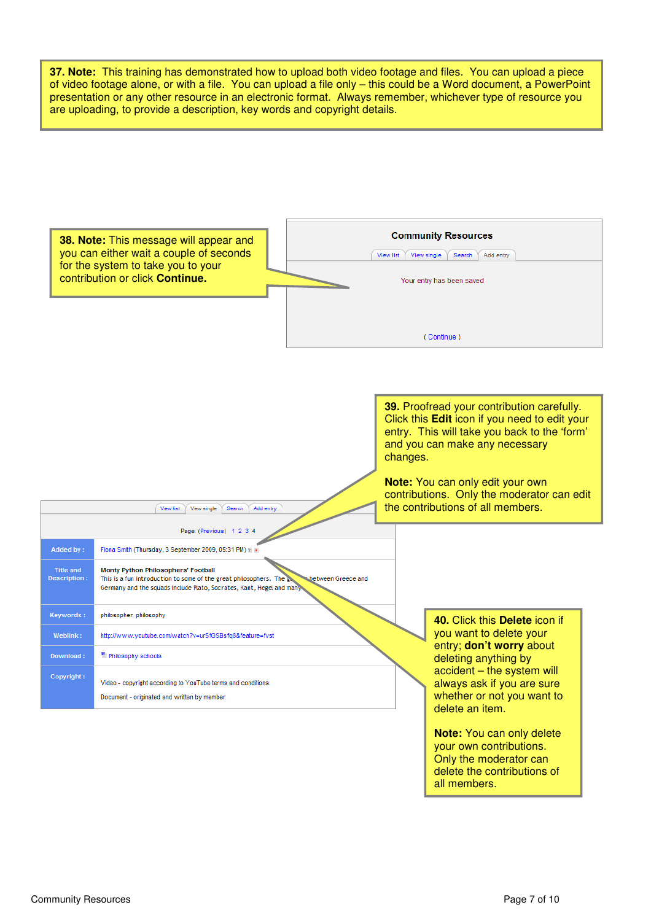

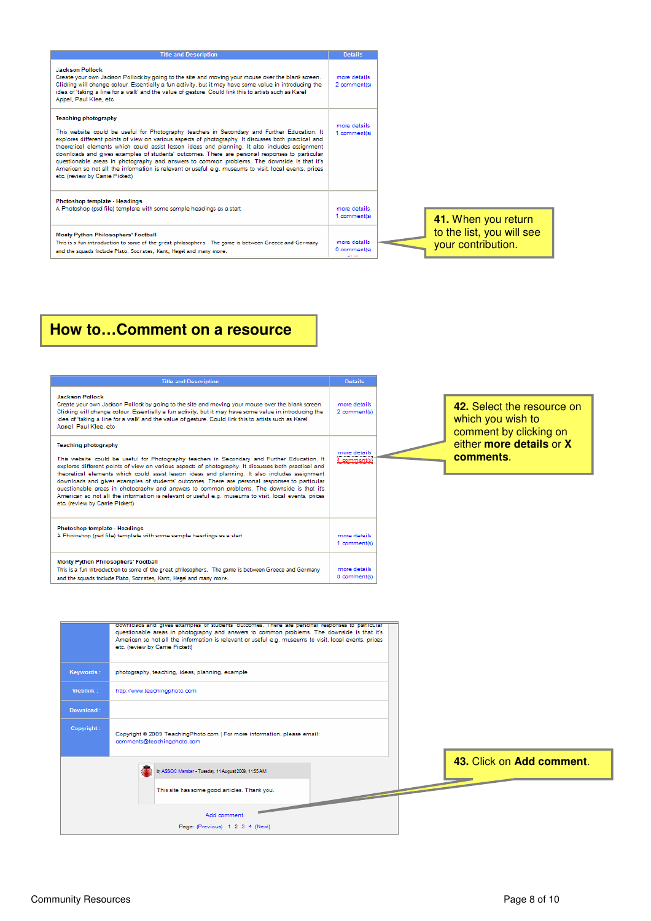| <b>Title and Description</b>                                                                                                                                                                                                                                                                                                                                                                                                                                                                                                                                                                                                                                                       | <b>Details</b>                                  |
|------------------------------------------------------------------------------------------------------------------------------------------------------------------------------------------------------------------------------------------------------------------------------------------------------------------------------------------------------------------------------------------------------------------------------------------------------------------------------------------------------------------------------------------------------------------------------------------------------------------------------------------------------------------------------------|-------------------------------------------------|
| <b>Jackson Pollock</b><br>Create your own Jackson Pollock by going to the site and moving your mouse over the blank screen.<br>Clicking will change colour. Essentially a fun activity, but it may have some value in introducing the<br>idea of 'taking a line for a walk' and the value of gesture. Could link this to artists such as Karel<br>Appel, Paul Klee, etc.                                                                                                                                                                                                                                                                                                           | more details.<br>2 comment(s)                   |
| <b>Teaching photography</b><br>This website could be useful for Photography teachers in Secondary and Further Education. It<br>explores different points of view on various aspects of photography. It discusses both practical and<br>theoretical elements which could assist lesson ideas and planning. It also includes assignment<br>downloads and gives examples of students' outcomes. There are personal responses to particular<br>questionable areas in photography and answers to common problems. The downside is that it's<br>American so not all the information is relevant or useful e.g. museums to visit, local events, prices<br>etc. (review by Carrie Pickett) | more details<br>1 comment(s)                    |
| <b>Photoshop template - Headings</b><br>A Photoshop (psd file) template with some sample headings as a start                                                                                                                                                                                                                                                                                                                                                                                                                                                                                                                                                                       | more details.<br>1 comment(s)                   |
| Monty Python Philosophers' Football<br>This is a fun introduction to some of the great philosophers. The game is between Greece and Germany<br>and the squads include Plato, Socrates, Kant, Hegel and many more.                                                                                                                                                                                                                                                                                                                                                                                                                                                                  | more details<br>0 comment(s)<br><b>MCT TEXT</b> |

# **How to…Comment on a resource**

|                                                                                                                                                                                                                                                                                                                                                                                                                                                                                                                                                                                                                                                                                    | <b>Title and Description</b>                                                                                                                                                                                                                                                                                                                                                                | <b>Details</b>               |                                                                           |  |
|------------------------------------------------------------------------------------------------------------------------------------------------------------------------------------------------------------------------------------------------------------------------------------------------------------------------------------------------------------------------------------------------------------------------------------------------------------------------------------------------------------------------------------------------------------------------------------------------------------------------------------------------------------------------------------|---------------------------------------------------------------------------------------------------------------------------------------------------------------------------------------------------------------------------------------------------------------------------------------------------------------------------------------------------------------------------------------------|------------------------------|---------------------------------------------------------------------------|--|
| <b>Jackson Pollock</b><br>Appel, Paul Klee, etc.                                                                                                                                                                                                                                                                                                                                                                                                                                                                                                                                                                                                                                   | Create your own Jackson Pollock by going to the site and moving your mouse over the blank screen.<br>Clicking will change colour. Essentially a fun activity, but it may have some value in introducing the<br>idea of 'taking a line for a walk' and the value of gesture. Could link this to artists such as Karel                                                                        | more details<br>2 comment(s) | 42. Select the resource on<br>which you wish to<br>comment by clicking on |  |
| <b>Teaching photography</b><br>This website could be useful for Photography teachers in Secondary and Further Education. It<br>explores different points of view on various aspects of photography. It discusses both practical and<br>theoretical elements which could assist lesson ideas and planning. It also includes assignment<br>downloads and gives examples of students' outcomes. There are personal responses to particular<br>questionable areas in photography and answers to common problems. The downside is that it's<br>American so not all the information is relevant or useful e.g. museums to visit, local events, prices<br>etc. (review by Carrie Pickett) |                                                                                                                                                                                                                                                                                                                                                                                             | more details<br>comment(s)   | either more details or X<br>comments.                                     |  |
| Photoshop template - Headings<br>A Photoshop (psd file) template with some sample headings as a start                                                                                                                                                                                                                                                                                                                                                                                                                                                                                                                                                                              |                                                                                                                                                                                                                                                                                                                                                                                             | more details<br>1 comment(s) |                                                                           |  |
| Monty Python Philosophers' Football<br>This is a fun introduction to some of the great philosophers. The game is between Greece and Germany<br>and the squads include Plato, Socrates, Kant, Hegel and many more.                                                                                                                                                                                                                                                                                                                                                                                                                                                                  |                                                                                                                                                                                                                                                                                                                                                                                             | more details<br>0 comment(s) |                                                                           |  |
| Keywords:                                                                                                                                                                                                                                                                                                                                                                                                                                                                                                                                                                                                                                                                          | gownloads and gives examples of students outcomes. There are personal responses to particular<br>questionable areas in photography and answers to common problems. The downside is that it's<br>American so not all the information is relevant or useful e.g. museums to visit, local events, prices<br>etc. (review by Carrie Pickett)<br>photography, teaching, ideas, planning, example |                              |                                                                           |  |
| Weblink:                                                                                                                                                                                                                                                                                                                                                                                                                                                                                                                                                                                                                                                                           | http://www.teachingphoto.com                                                                                                                                                                                                                                                                                                                                                                |                              |                                                                           |  |
| Download:                                                                                                                                                                                                                                                                                                                                                                                                                                                                                                                                                                                                                                                                          |                                                                                                                                                                                                                                                                                                                                                                                             |                              |                                                                           |  |
| Copyright:                                                                                                                                                                                                                                                                                                                                                                                                                                                                                                                                                                                                                                                                         | Copyright © 2009 TeachingPhoto.com   For more information, please email:<br>comments@teachingphoto.com                                                                                                                                                                                                                                                                                      |                              |                                                                           |  |
|                                                                                                                                                                                                                                                                                                                                                                                                                                                                                                                                                                                                                                                                                    | by ASSOC Member - Tuesday, 11 August 2009, 11:55 AM                                                                                                                                                                                                                                                                                                                                         |                              | 43. Click on Add comment.                                                 |  |
|                                                                                                                                                                                                                                                                                                                                                                                                                                                                                                                                                                                                                                                                                    | This site has some good articles. Thank you.                                                                                                                                                                                                                                                                                                                                                |                              |                                                                           |  |
|                                                                                                                                                                                                                                                                                                                                                                                                                                                                                                                                                                                                                                                                                    | Add comment                                                                                                                                                                                                                                                                                                                                                                                 |                              |                                                                           |  |
|                                                                                                                                                                                                                                                                                                                                                                                                                                                                                                                                                                                                                                                                                    | Page: (Previous) 1 2 3 4 (Next)                                                                                                                                                                                                                                                                                                                                                             |                              |                                                                           |  |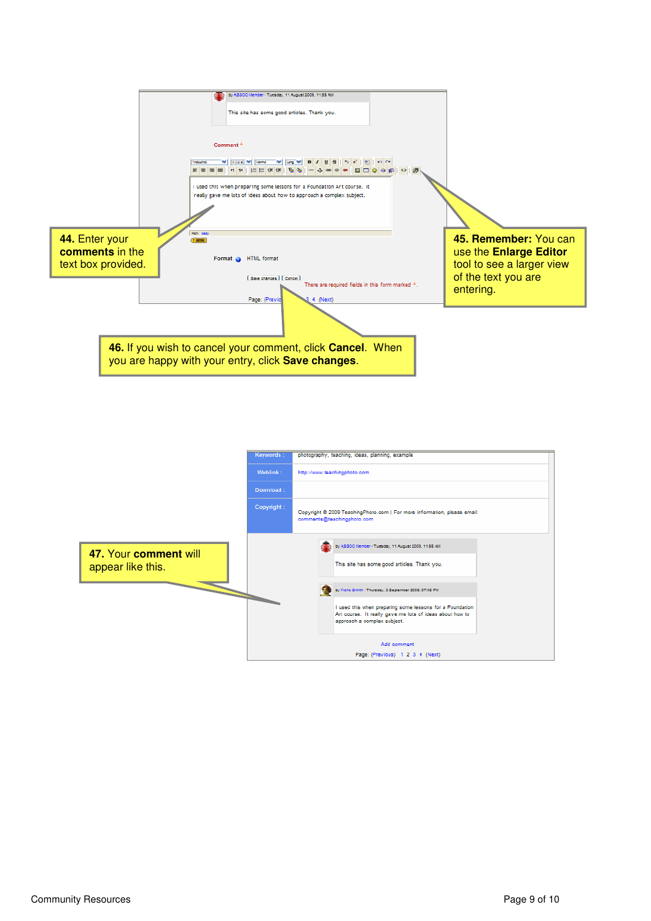